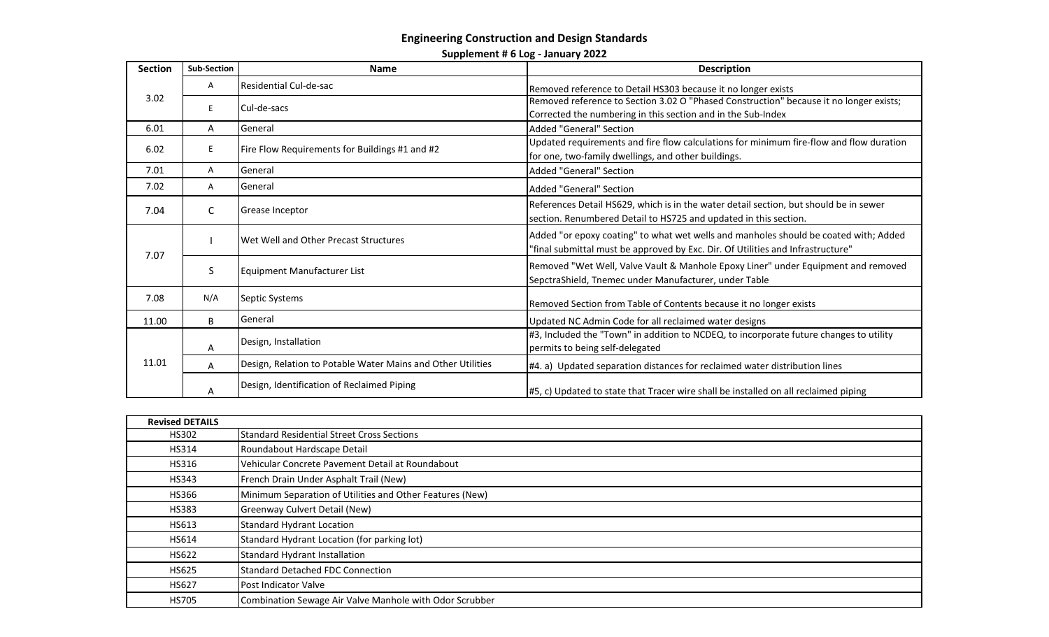## **Engineering Construction and Design Standards**

**Supplement # 6 Log - January 2022**

| <b>Section</b> | <b>Sub-Section</b> | <b>Name</b>                                                 | <b>Description</b>                                                                                                                                                      |
|----------------|--------------------|-------------------------------------------------------------|-------------------------------------------------------------------------------------------------------------------------------------------------------------------------|
| 3.02           | Α                  | Residential Cul-de-sac                                      | Removed reference to Detail HS303 because it no longer exists                                                                                                           |
|                | E.                 | Cul-de-sacs                                                 | Removed reference to Section 3.02 O "Phased Construction" because it no longer exists;<br>Corrected the numbering in this section and in the Sub-Index                  |
| 6.01           | A                  | General                                                     | <b>Added "General" Section</b>                                                                                                                                          |
| 6.02           | E.                 | Fire Flow Requirements for Buildings #1 and #2              | Updated requirements and fire flow calculations for minimum fire-flow and flow duration<br>for one, two-family dwellings, and other buildings.                          |
| 7.01           | Α                  | General                                                     | Added "General" Section                                                                                                                                                 |
| 7.02           | Α                  | General                                                     | <b>Added "General" Section</b>                                                                                                                                          |
| 7.04           | C                  | Grease Inceptor                                             | References Detail HS629, which is in the water detail section, but should be in sewer<br>section. Renumbered Detail to HS725 and updated in this section.               |
| 7.07           |                    | Wet Well and Other Precast Structures                       | Added "or epoxy coating" to what wet wells and manholes should be coated with; Added<br>"final submittal must be approved by Exc. Dir. Of Utilities and Infrastructure" |
|                | S                  | Equipment Manufacturer List                                 | Removed "Wet Well, Valve Vault & Manhole Epoxy Liner" under Equipment and removed<br>SepctraShield, Tnemec under Manufacturer, under Table                              |
| 7.08           | N/A                | Septic Systems                                              | Removed Section from Table of Contents because it no longer exists                                                                                                      |
| 11.00          | B                  | General                                                     | Updated NC Admin Code for all reclaimed water designs                                                                                                                   |
| 11.01          | A                  | Design, Installation                                        | #3, Included the "Town" in addition to NCDEQ, to incorporate future changes to utility<br>permits to being self-delegated                                               |
|                | A                  | Design, Relation to Potable Water Mains and Other Utilities | #4. a) Updated separation distances for reclaimed water distribution lines                                                                                              |
|                | A                  | Design, Identification of Reclaimed Piping                  | #5, c) Updated to state that Tracer wire shall be installed on all reclaimed piping                                                                                     |

| <b>Revised DETAILS</b> |                                                          |
|------------------------|----------------------------------------------------------|
| HS302                  | <b>Standard Residential Street Cross Sections</b>        |
| HS314                  | Roundabout Hardscape Detail                              |
| HS316                  | Vehicular Concrete Pavement Detail at Roundabout         |
| HS343                  | French Drain Under Asphalt Trail (New)                   |
| HS366                  | Minimum Separation of Utilities and Other Features (New) |
| <b>HS383</b>           | Greenway Culvert Detail (New)                            |
| HS613                  | <b>Standard Hydrant Location</b>                         |
| HS614                  | Standard Hydrant Location (for parking lot)              |
| <b>HS622</b>           | <b>Standard Hydrant Installation</b>                     |
| HS625                  | <b>Standard Detached FDC Connection</b>                  |
| <b>HS627</b>           | Post Indicator Valve                                     |
| <b>HS705</b>           | Combination Sewage Air Valve Manhole with Odor Scrubber  |